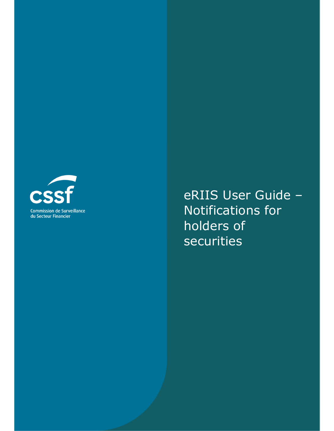

eRIIS User Guide – Notifications for holders of securities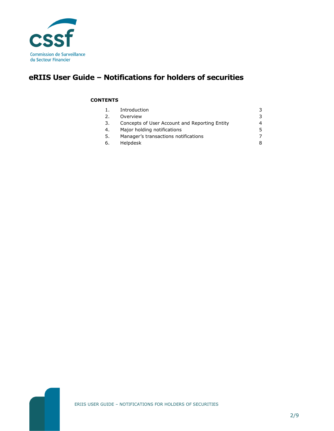

# **eRIIS User Guide – Notifications for holders of securities**

#### **CONTENTS**

| $\mathbf{1}$ . | Introduction                                  |    |
|----------------|-----------------------------------------------|----|
| 2.             | Overview                                      | 3  |
| 3.             | Concepts of User Account and Reporting Entity |    |
| 4.             | Major holding notifications                   | 5. |
| 5.             | Manager's transactions notifications          |    |
| 6.             | Helpdesk                                      |    |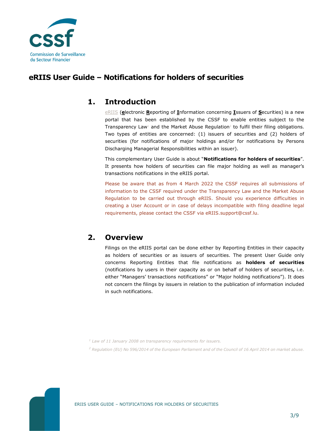

### **eRIIS User Guide – Notifications for holders of securities**

### **1. Introduction**

eRIIS (**e**lectronic **R**eporting of **I**nformation concerning **I**ssuers of **S**ecurities) is a new portal that has been established by the CSSF to enable entities subject to the Transparency Law1 and the Market Abuse Regulation<sup>2</sup> to fulfil their filing obligations. Two types of entities are concerned: (1) issuers of securities and (2) holders of securities (for notifications of major holdings and/or for notifications by Persons Discharging Managerial Responsibilities within an issuer).

This complementary User Guide is about "**Notifications for holders of securities**". It presents how holders of securities can file major holding as well as manager's transactions notifications in the eRIIS portal.

Please be aware that as from 4 March 2022 the CSSF requires all submissions of information to the CSSF required under the Transparency Law and the Market Abuse Regulation to be carried out through eRIIS. Should you experience difficulties in creating a User Account or in case of delays incompatible with filing deadline legal requirements, please contact the CSSF via eRIIS.support@cssf.lu.

### **2. Overview**

Filings on the eRIIS portal can be done either by Reporting Entities in their capacity as holders of securities or as issuers of securities. The present User Guide only concerns Reporting Entities that file notifications as **holders of securities** (notifications by users in their capacity as or on behalf of holders of securities**,** i.e. either "Managers' transactions notifications" or "Major holding notifications"). It does not concern the filings by issuers in relation to the publication of information included in such notifications.

*1 Law of 11 January 2008 on transparency requirements for issuers.* 

*2 Regulation (EU) No 596/2014 of the European Parliament and of the Council of 16 April 2014 on market abuse.*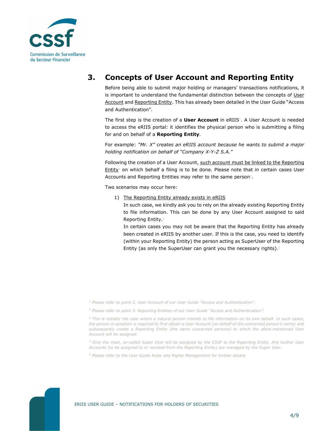

## **3. Concepts of User Account and Reporting Entity**

Before being able to submit major holding or managers' transactions notifications, it is important to understand the fundamental distinction between the concepts of User Account and Reporting Entity. This has already been detailed in the User Guide "Access and Authentication".

The first step is the creation of a **User Account** in eRIIS<sup>1</sup>. A User Account is needed to access the eRIIS portal: it identifies the physical person who is submitting a filing for and on behalf of a **Reporting Entity**.

For example: *"Mr. X" creates an eRIIS account because he wants to submit a major holding notification on behalf of "Company X-Y-Z S.A."* 

Following the creation of a User Account, such account must be linked to the Reporting  $Entity<sup>2</sup>$  on which behalf a filing is to be done. Please note that in certain cases User Accounts and Reporting Entities may refer to the same person<sup>3</sup>.

Two scenarios may occur here:

1) The Reporting Entity already exists in eRIIS

In such case, we kindly ask you to rely on the already existing Reporting Entity to file information. This can be done by any User Account assigned to said Reporting Entity.<sup>4</sup>

In certain cases you may not be aware that the Reporting Entity has already been created in eRIIS by another user. If this is the case, you need to identify (within your Reporting Entity) the person acting as SuperUser of the Reporting Entity (as only the SuperUser can grant you the necessary rights). $5$ 

<sup>1</sup> Please refer to point 2. User Account of our User Guide "Access and Authentication".

*<sup>2</sup> Please refer to point 3. Reporting Entities of our User Guide "Access and Authentication".* 

*<sup>3</sup> This is notably the case where a natural person intends to file information on its own behalf. In such cases, the person in question is required to first obtain a User Account (on behalf of the concerned person's name) and subsequently create a Reporting Entity (the same concerned persons) to which the afore-mentioned User Account will be assigned.* 

*<sup>4</sup> Only the main, so-called Super User will be assigned by the CSSF to the Reporting Entity. Any further User Accounts (to be assigned to or revoked from the Reporting Entity) are managed by the Super User.* 

*<sup>5</sup> Please refer to the User Guide Roles and Rights Management for further details*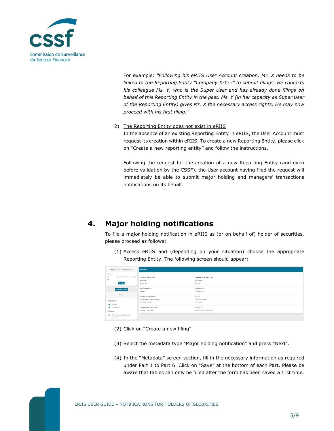

For example: *"Following his eRIIS User Account creation, Mr. X needs to be linked to the Reporting Entity "Company X-Y-Z" to submit filings. He contacts his colleague Ms. Y, who is the Super User and has already done filings on behalf of this Reporting Entity in the past. Ms. Y (in her capacity as Super User of the Reporting Entity) gives Mr. X the necessary access rights. He may now proceed with his first filing."* 

#### 2) The Reporting Entity does not exist in eRIIS

In the absence of an existing Reporting Entity in eRIIS, the User Account must request its creation within eRIIS. To create a new Reporting Entity, please click on "Create a new reporting entity" and follow the instructions.

Following the request for the creation of a new Reporting Entity (and even before validation by the CSSF), the User account having filed the request will immediately be able to submit major holding and managers' transactions notifications on its behalf.

## **4. Major holding notifications**

To file a major holding notification in eRIIS as (or on behalf of) holder of securities, please proceed as follows:

(1) Access eRIIS and (depending on your situation) choose the appropriate Reporting Entity. The following screen should appear:

| Reporting entity information                              | My Info                           |                                   |
|-----------------------------------------------------------|-----------------------------------|-----------------------------------|
| CSSF code                                                 |                                   |                                   |
| (Example of holder of securities)<br>Name                 | First name and last name          | (Example of holder of securities) |
| LEI                                                       | Nationality                       | Luxembourg                        |
| Change                                                    | Date of birth                     | 1980-01-01                        |
| Create a new filing                                       | Identification type               | Passport number                   |
|                                                           | Number                            | ,,,,,,,,,,,,,,,,,,,,,             |
| Menu                                                      | Postal address of residence       | 1, rue XYZ                        |
|                                                           | Postal code and city of residence | L-1150 Luxembourg                 |
| $~\vee~$ My space                                         | Country of residence              | Luxembourg                        |
| <b>0</b> My info                                          |                                   |                                   |
| ۰<br>Documents                                            | <b>Personal Telephone number</b>  | $-35211111111111$                 |
| $~\vee~$ Filings                                          | Personal E-mail address           | holder.of.securities@example.com  |
| <b>III</b> All notifications for holders of<br>securities |                                   |                                   |

- (2) Click on "Create a new filing".
- (3) Select the metadata type "Major holding notification" and press "Next".
- (4) In the "Metadata" screen section, fill in the necessary information as required under Part 1 to Part 6. Click on "Save" at the bottom of each Part. Please be aware that tables can only be filled after the form has been saved a first time.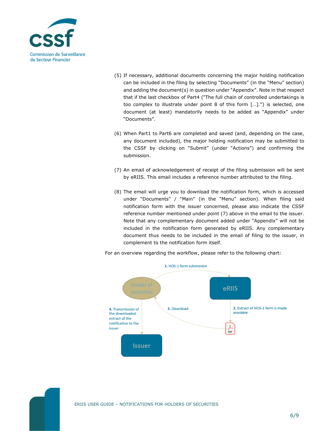

- (5) If necessary, additional documents concerning the major holding notification can be included in the filing by selecting "Documents" (in the "Menu" section) and adding the document(s) in question under "Appendix". Note in that respect that if the last checkbox of Part4 ("The full chain of controlled undertakings is too complex to illustrate under point 8 of this form […].") is selected, one document (at least) mandatorily needs to be added as "Appendix" under "Documents".
- (6) When Part1 to Part6 are completed and saved (and, depending on the case, any document included), the major holding notification may be submitted to the CSSF by clicking on "Submit" (under "Actions") and confirming the submission.
- (7) An email of acknowledgement of receipt of the filing submission will be sent by eRIIS. This email includes a reference number attributed to the filing.
- (8) The email will urge you to download the notification form, which is accessed under "Documents" / "Main" (in the "Menu" section). When filing said notification form with the issuer concerned, please also indicate the CSSF reference number mentioned under point (7) above in the email to the issuer. Note that any complementary document added under "Appendix" will not be included in the notification form generated by eRIIS. Any complementary document thus needs to be included in the email of filing to the issuer, in complement to the notification form itself.



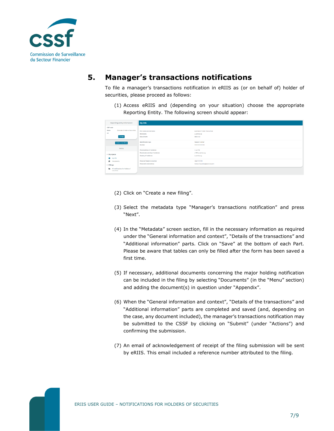

## **5. Manager's transactions notifications**

To file a manager's transactions notification in eRIIS as (or on behalf of) holder of securities, please proceed as follows:

(1) Access eRIIS and (depending on your situation) choose the appropriate Reporting Entity. The following screen should appear:

| Reporting entity information                              | My Info                           |                                   |
|-----------------------------------------------------------|-----------------------------------|-----------------------------------|
| CSSF code                                                 |                                   |                                   |
| (Example of holder of securities)<br>Name                 | First name and last name          | (Example of holder of securities) |
| LEI                                                       | Nationality                       | Luxembourg                        |
| Change                                                    | Date of birth                     | 1980-01-01                        |
| Create a new filing                                       | Identification type               | Passport number                   |
|                                                           | Number                            | ,,,,,,,,,,,,,,,,,,,,,,            |
| Menu                                                      | Postal address of residence       | 1, rue XYZ                        |
| $~\vee~$ My space                                         | Postal code and city of residence | L-1150 Luxembourg                 |
|                                                           | Country of residence              | Luxembourg                        |
| <b>0</b> My info                                          |                                   |                                   |
| Documents                                                 | <b>Personal Telephone number</b>  | $+352111111111111$                |
| $~\vee~$ Filings                                          | Personal E-mail address           | holder.of.securities@example.com  |
| <b>III</b> All notifications for holders of<br>securities |                                   |                                   |

- (2) Click on "Create a new filing".
- (3) Select the metadata type "Manager's transactions notification" and press "Next".
- (4) In the "Metadata" screen section, fill in the necessary information as required under the "General information and context", "Details of the transactions" and "Additional information" parts. Click on "Save" at the bottom of each Part. Please be aware that tables can only be filled after the form has been saved a first time.
- (5) If necessary, additional documents concerning the major holding notification can be included in the filing by selecting "Documents" (in the "Menu" section) and adding the document(s) in question under "Appendix".
- (6) When the "General information and context", "Details of the transactions" and "Additional information" parts are completed and saved (and, depending on the case, any document included), the manager's transactions notification may be submitted to the CSSF by clicking on "Submit" (under "Actions") and confirming the submission.
- (7) An email of acknowledgement of receipt of the filing submission will be sent by eRIIS. This email included a reference number attributed to the filing.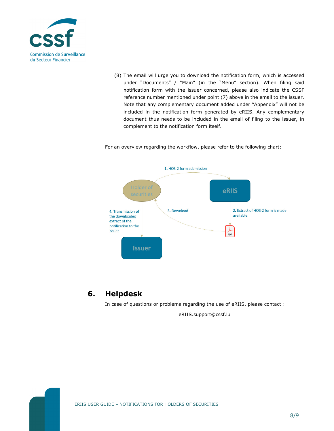

(8) The email will urge you to download the notification form, which is accessed under "Documents" / "Main" (in the "Menu" section). When filing said notification form with the issuer concerned, please also indicate the CSSF reference number mentioned under point (7) above in the email to the issuer. Note that any complementary document added under "Appendix" will not be included in the notification form generated by eRIIS. Any complementary document thus needs to be included in the email of filing to the issuer, in complement to the notification form itself.

For an overview regarding the workflow, please refer to the following chart:



## **6. Helpdesk**

In case of questions or problems regarding the use of eRIIS, please contact :

eRIIS.support@cssf.lu